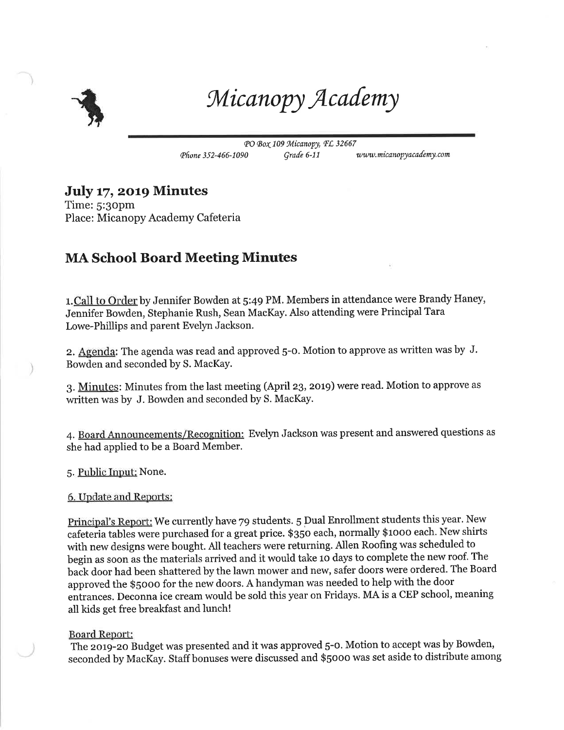

Micanopy Academy

PO Box 109 Micanopy, FL 32667 Phone 352-466-1090 Grade 6-11 www.micanopyacademy.com

## July 17, 2019 Minutes

Time: S:3opm Place: Micanopy Academy Cafeteria

## MA School Board Meeting Minutes

1. Call to Order by Jennifer Bowden at 5:49 PM. Members in attendance were Brandy Haney, Jennifer Bowden, Stephanie Rush, Sean MacKay. Also attending were Principal Tara Lowe-Phillips and parent Evelyn Jackson.

2. Agenda: The agenda was read and approved 5-0. Motion to approve as written was by J. Bowden and seconded by S. MacKay.

3. Minutes: Minutes from the last meeting (April 23, 2019) were read. Motion to approve as written was by J. Bowden and seconded by S. MacKay.

4. Board Announcements/Recognition: Evelyn Jackson was present and answered questions as she had applied to be a Board Member.

5. Public Input: None.

6. Update and Reports:

Principal's Report: We currently have 79 students. 5 Dual Enrollment students this year. New cafeteria tables were purchased for a great price. \$350 each, normally \$1000 each. New shirts with new designs were bought. All teachers were returning. Allen Roofing was scheduled to begin as soon as the materials arrived and it would take 10 days to complete the new roof. The back door had been shattered by the lawn mower and new, safer doors were ordered. The Board approved the \$5000 for the new doors. A handyman was needed to help with the door entrances. Deconna ice cream would be sold this year on Fridays. MA is a CEP school, meaning all kids get free breakfast and lunch!

## Board Report:

The 2019-20 Budget was presented and it was approved 5-0. Motion to accept was by Bowden, seconded by MacKay. Staff bonuses were discussed and \$5000 was set aside to distribute among